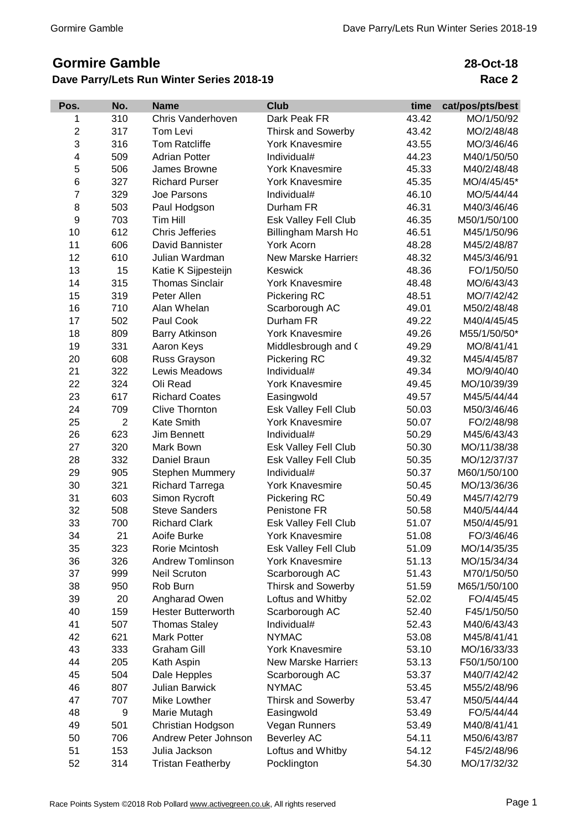# **Gormire Gamble**

## **Dave Parry/Lets Run Winter Series 2018-19**

**28-Oct-18 Race 2**

| Pos.           | No.            | <b>Name</b>               | <b>Club</b>                   | time  | cat/pos/pts/best |
|----------------|----------------|---------------------------|-------------------------------|-------|------------------|
| 1              | 310            | Chris Vanderhoven         | Dark Peak FR                  | 43.42 | MO/1/50/92       |
| $\overline{2}$ | 317            | Tom Levi                  | <b>Thirsk and Sowerby</b>     | 43.42 | MO/2/48/48       |
| 3              | 316            | <b>Tom Ratcliffe</b>      | <b>York Knavesmire</b>        | 43.55 | MO/3/46/46       |
| 4              | 509            | <b>Adrian Potter</b>      | Individual#                   | 44.23 | M40/1/50/50      |
| 5              | 506            | James Browne              | <b>York Knavesmire</b>        | 45.33 | M40/2/48/48      |
| 6              | 327            | <b>Richard Purser</b>     | <b>York Knavesmire</b>        | 45.35 | MO/4/45/45*      |
| 7              | 329            | Joe Parsons               | Individual#                   | 46.10 | MO/5/44/44       |
| 8              | 503            | Paul Hodgson              | Durham FR                     | 46.31 | M40/3/46/46      |
| 9              | 703            | Tim Hill                  | Esk Valley Fell Club          | 46.35 | M50/1/50/100     |
| 10             | 612            | <b>Chris Jefferies</b>    | Billingham Marsh Ho           | 46.51 | M45/1/50/96      |
| 11             | 606            | David Bannister           | <b>York Acorn</b>             | 48.28 | M45/2/48/87      |
| 12             | 610            | Julian Wardman            | <b>New Marske Harriers</b>    | 48.32 | M45/3/46/91      |
| 13             | 15             | Katie K Sijpesteijn       | Keswick                       | 48.36 | FO/1/50/50       |
| 14             | 315            | <b>Thomas Sinclair</b>    | <b>York Knavesmire</b>        | 48.48 | MO/6/43/43       |
| 15             | 319            | Peter Allen               | Pickering RC                  | 48.51 | MO/7/42/42       |
| 16             | 710            | Alan Whelan               | Scarborough AC                | 49.01 | M50/2/48/48      |
| 17             | 502            | Paul Cook                 | Durham FR                     | 49.22 | M40/4/45/45      |
| 18             | 809            | <b>Barry Atkinson</b>     | <b>York Knavesmire</b>        | 49.26 | M55/1/50/50*     |
| 19             | 331            | Aaron Keys                | Middlesbrough and (           | 49.29 | MO/8/41/41       |
| 20             | 608            | Russ Grayson              | Pickering RC                  | 49.32 | M45/4/45/87      |
| 21             | 322            | Lewis Meadows             | Individual#                   | 49.34 | MO/9/40/40       |
| 22             | 324            | Oli Read                  | <b>York Knavesmire</b>        | 49.45 | MO/10/39/39      |
| 23             | 617            | <b>Richard Coates</b>     | Easingwold                    | 49.57 | M45/5/44/44      |
| 24             | 709            | <b>Clive Thornton</b>     | Esk Valley Fell Club          | 50.03 | M50/3/46/46      |
| 25             | $\overline{2}$ | Kate Smith                | <b>York Knavesmire</b>        | 50.07 | FO/2/48/98       |
| 26             | 623            | Jim Bennett               | Individual#                   | 50.29 | M45/6/43/43      |
| 27             | 320            | Mark Bown                 | Esk Valley Fell Club          | 50.30 | MO/11/38/38      |
| 28             | 332            | Daniel Braun              | Esk Valley Fell Club          | 50.35 | MO/12/37/37      |
| 29             | 905            | <b>Stephen Mummery</b>    | Individual#                   | 50.37 | M60/1/50/100     |
| 30             | 321            | <b>Richard Tarrega</b>    | <b>York Knavesmire</b>        | 50.45 | MO/13/36/36      |
| 31             | 603            | Simon Rycroft             | Pickering RC                  | 50.49 | M45/7/42/79      |
| 32             | 508            | <b>Steve Sanders</b>      | Penistone FR                  | 50.58 | M40/5/44/44      |
| 33             | 700            | <b>Richard Clark</b>      | Esk Valley Fell Club          | 51.07 | M50/4/45/91      |
| 34             | 21             | Aoife Burke               | <b>York Knavesmire</b>        | 51.08 | FO/3/46/46       |
| 35             | 323            | Rorie Mcintosh            | Esk Valley Fell Club          | 51.09 | MO/14/35/35      |
| 36             | 326            | <b>Andrew Tomlinson</b>   | <b>York Knavesmire</b>        | 51.13 | MO/15/34/34      |
| 37             | 999            | <b>Neil Scruton</b>       | Scarborough AC                | 51.43 | M70/1/50/50      |
| 38             | 950            | Rob Burn                  | Thirsk and Sowerby            | 51.59 | M65/1/50/100     |
| 39             | 20             | Angharad Owen             | Loftus and Whitby             | 52.02 | FO/4/45/45       |
| 40             | 159            | <b>Hester Butterworth</b> |                               | 52.40 | F45/1/50/50      |
| 41             | 507            |                           | Scarborough AC<br>Individual# | 52.43 | M40/6/43/43      |
| 42             |                | <b>Thomas Staley</b>      | <b>NYMAC</b>                  |       |                  |
|                | 621            | <b>Mark Potter</b>        |                               | 53.08 | M45/8/41/41      |
| 43             | 333            | <b>Graham Gill</b>        | <b>York Knavesmire</b>        | 53.10 | MO/16/33/33      |
| 44             | 205            | Kath Aspin                | <b>New Marske Harriers</b>    | 53.13 | F50/1/50/100     |
| 45             | 504            | Dale Hepples              | Scarborough AC                | 53.37 | M40/7/42/42      |
| 46             | 807            | <b>Julian Barwick</b>     | <b>NYMAC</b>                  | 53.45 | M55/2/48/96      |
| 47             | 707            | Mike Lowther              | <b>Thirsk and Sowerby</b>     | 53.47 | M50/5/44/44      |
| 48             | 9              | Marie Mutagh              | Easingwold                    | 53.49 | FO/5/44/44       |
| 49             | 501            | Christian Hodgson         | Vegan Runners                 | 53.49 | M40/8/41/41      |
| 50             | 706            | Andrew Peter Johnson      | <b>Beverley AC</b>            | 54.11 | M50/6/43/87      |
| 51             | 153            | Julia Jackson             | Loftus and Whitby             | 54.12 | F45/2/48/96      |
| 52             | 314            | <b>Tristan Featherby</b>  | Pocklington                   | 54.30 | MO/17/32/32      |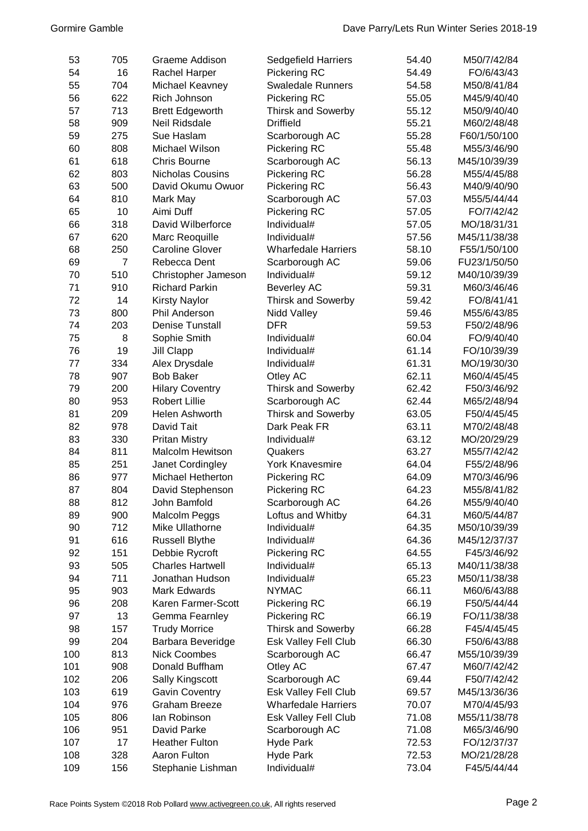| 53  | 705            | Graeme Addison          | Sedgefield Harriers        | 54.40 | M50/7/42/84  |
|-----|----------------|-------------------------|----------------------------|-------|--------------|
| 54  | 16             | Rachel Harper           | Pickering RC               | 54.49 | FO/6/43/43   |
| 55  | 704            | Michael Keavney         | <b>Swaledale Runners</b>   | 54.58 | M50/8/41/84  |
| 56  | 622            | Rich Johnson            | Pickering RC               | 55.05 | M45/9/40/40  |
| 57  | 713            | <b>Brett Edgeworth</b>  | <b>Thirsk and Sowerby</b>  | 55.12 | M50/9/40/40  |
| 58  | 909            | Neil Ridsdale           | <b>Driffield</b>           | 55.21 | M60/2/48/48  |
| 59  | 275            | Sue Haslam              | Scarborough AC             | 55.28 | F60/1/50/100 |
| 60  | 808            | Michael Wilson          | Pickering RC               | 55.48 | M55/3/46/90  |
| 61  | 618            | <b>Chris Bourne</b>     |                            | 56.13 | M45/10/39/39 |
| 62  | 803            | <b>Nicholas Cousins</b> | Scarborough AC             | 56.28 |              |
|     |                |                         | Pickering RC               |       | M55/4/45/88  |
| 63  | 500            | David Okumu Owuor       | Pickering RC               | 56.43 | M40/9/40/90  |
| 64  | 810            | Mark May                | Scarborough AC             | 57.03 | M55/5/44/44  |
| 65  | 10             | Aimi Duff               | Pickering RC               | 57.05 | FO/7/42/42   |
| 66  | 318            | David Wilberforce       | Individual#                | 57.05 | MO/18/31/31  |
| 67  | 620            | Marc Reoquille          | Individual#                | 57.56 | M45/11/38/38 |
| 68  | 250            | <b>Caroline Glover</b>  | <b>Wharfedale Harriers</b> | 58.10 | F55/1/50/100 |
| 69  | $\overline{7}$ | Rebecca Dent            | Scarborough AC             | 59.06 | FU23/1/50/50 |
| 70  | 510            | Christopher Jameson     | Individual#                | 59.12 | M40/10/39/39 |
| 71  | 910            | <b>Richard Parkin</b>   | <b>Beverley AC</b>         | 59.31 | M60/3/46/46  |
| 72  | 14             | <b>Kirsty Naylor</b>    | <b>Thirsk and Sowerby</b>  | 59.42 | FO/8/41/41   |
| 73  | 800            | <b>Phil Anderson</b>    | Nidd Valley                | 59.46 | M55/6/43/85  |
| 74  | 203            | <b>Denise Tunstall</b>  | <b>DFR</b>                 | 59.53 | F50/2/48/96  |
| 75  | 8              | Sophie Smith            | Individual#                | 60.04 | FO/9/40/40   |
| 76  | 19             | Jill Clapp              | Individual#                | 61.14 | FO/10/39/39  |
| 77  | 334            | Alex Drysdale           | Individual#                | 61.31 | MO/19/30/30  |
| 78  | 907            | <b>Bob Baker</b>        | Otley AC                   | 62.11 | M60/4/45/45  |
| 79  | 200            | <b>Hilary Coventry</b>  | Thirsk and Sowerby         | 62.42 | F50/3/46/92  |
| 80  | 953            | <b>Robert Lillie</b>    | Scarborough AC             | 62.44 | M65/2/48/94  |
| 81  | 209            | Helen Ashworth          | <b>Thirsk and Sowerby</b>  | 63.05 | F50/4/45/45  |
| 82  | 978            | David Tait              | Dark Peak FR               | 63.11 | M70/2/48/48  |
| 83  | 330            | <b>Pritan Mistry</b>    | Individual#                | 63.12 | MO/20/29/29  |
| 84  | 811            | <b>Malcolm Hewitson</b> | Quakers                    | 63.27 | M55/7/42/42  |
| 85  | 251            | Janet Cordingley        | <b>York Knavesmire</b>     | 64.04 | F55/2/48/96  |
| 86  | 977            | Michael Hetherton       | Pickering RC               | 64.09 | M70/3/46/96  |
| 87  | 804            | David Stephenson        | <b>Pickering RC</b>        | 64.23 | M55/8/41/82  |
| 88  | 812            | John Bamfold            | Scarborough AC             | 64.26 | M55/9/40/40  |
| 89  | 900            | Malcolm Peggs           | Loftus and Whitby          | 64.31 | M60/5/44/87  |
| 90  | 712            | Mike Ullathorne         | Individual#                | 64.35 | M50/10/39/39 |
| 91  | 616            | <b>Russell Blythe</b>   | Individual#                | 64.36 | M45/12/37/37 |
| 92  | 151            | Debbie Rycroft          | Pickering RC               | 64.55 | F45/3/46/92  |
| 93  | 505            | <b>Charles Hartwell</b> | Individual#                | 65.13 | M40/11/38/38 |
| 94  | 711            | Jonathan Hudson         | Individual#                | 65.23 | M50/11/38/38 |
| 95  | 903            | <b>Mark Edwards</b>     | <b>NYMAC</b>               | 66.11 | M60/6/43/88  |
| 96  | 208            | Karen Farmer-Scott      | Pickering RC               | 66.19 | F50/5/44/44  |
| 97  | 13             | Gemma Fearnley          | <b>Pickering RC</b>        | 66.19 | FO/11/38/38  |
| 98  | 157            | <b>Trudy Morrice</b>    | <b>Thirsk and Sowerby</b>  | 66.28 | F45/4/45/45  |
| 99  | 204            | Barbara Beveridge       | Esk Valley Fell Club       | 66.30 | F50/6/43/88  |
| 100 | 813            | <b>Nick Coombes</b>     | Scarborough AC             | 66.47 | M55/10/39/39 |
| 101 | 908            | Donald Buffham          | Otley AC                   | 67.47 | M60/7/42/42  |
| 102 | 206            | Sally Kingscott         | Scarborough AC             | 69.44 | F50/7/42/42  |
|     |                |                         |                            |       |              |
| 103 | 619            | <b>Gavin Coventry</b>   | Esk Valley Fell Club       | 69.57 | M45/13/36/36 |
| 104 | 976            | <b>Graham Breeze</b>    | <b>Wharfedale Harriers</b> | 70.07 | M70/4/45/93  |
| 105 | 806            | lan Robinson            | Esk Valley Fell Club       | 71.08 | M55/11/38/78 |
| 106 | 951            | David Parke             | Scarborough AC             | 71.08 | M65/3/46/90  |
| 107 | 17             | <b>Heather Fulton</b>   | <b>Hyde Park</b>           | 72.53 | FO/12/37/37  |
| 108 | 328            | Aaron Fulton            | <b>Hyde Park</b>           | 72.53 | MO/21/28/28  |
| 109 | 156            | Stephanie Lishman       | Individual#                | 73.04 | F45/5/44/44  |